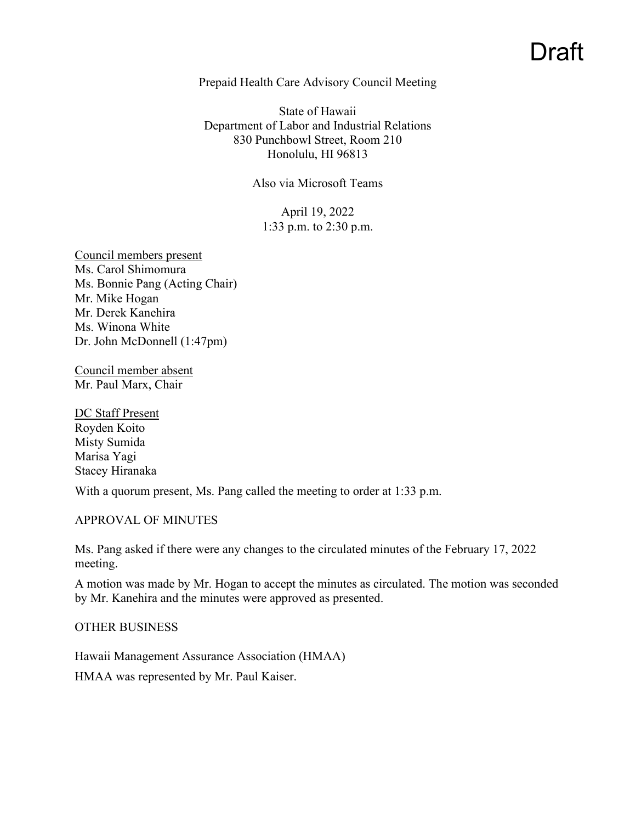# Draft

#### Prepaid Health Care Advisory Council Meeting

State of Hawaii Department of Labor and Industrial Relations 830 Punchbowl Street, Room 210 Honolulu, HI 96813

#### Also via Microsoft Teams

April 19, 2022 1:33 p.m. to 2:30 p.m.

Council members present Ms. Carol Shimomura Ms. Bonnie Pang (Acting Chair) Mr. Mike Hogan Mr. Derek Kanehira Ms. Winona White Dr. John McDonnell (1:47pm)

Council member absent Mr. Paul Marx, Chair

DC Staff Present Royden Koito Misty Sumida Marisa Yagi Stacey Hiranaka

With a quorum present, Ms. Pang called the meeting to order at 1:33 p.m.

APPROVAL OF MINUTES

Ms. Pang asked if there were any changes to the circulated minutes of the February 17, 2022 meeting.

A motion was made by Mr. Hogan to accept the minutes as circulated. The motion was seconded by Mr. Kanehira and the minutes were approved as presented.

#### OTHER BUSINESS

Hawaii Management Assurance Association (HMAA)

HMAA was represented by Mr. Paul Kaiser.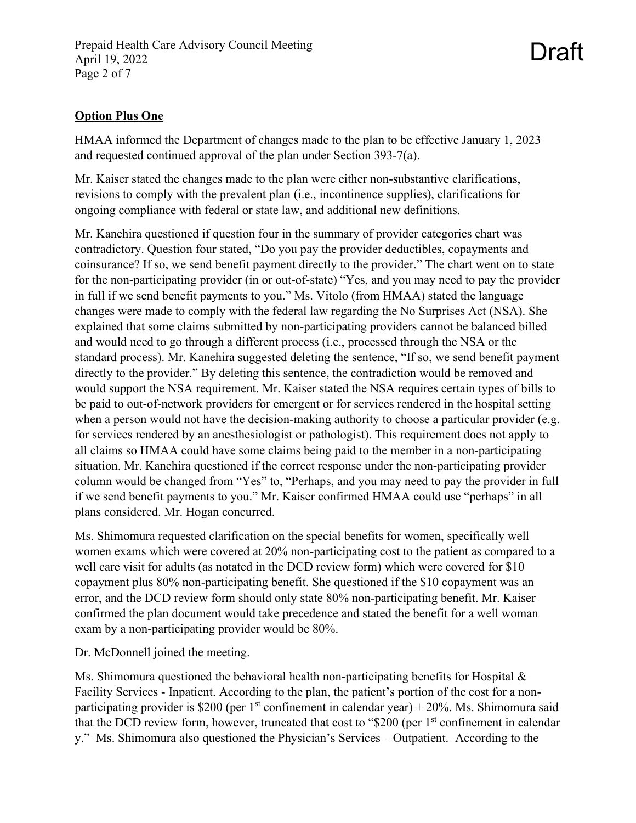## **Option Plus One**

HMAA informed the Department of changes made to the plan to be effective January 1, 2023 and requested continued approval of the plan under Section 393-7(a).

Draft

Mr. Kaiser stated the changes made to the plan were either non-substantive clarifications, revisions to comply with the prevalent plan (i.e., incontinence supplies), clarifications for ongoing compliance with federal or state law, and additional new definitions.

Mr. Kanehira questioned if question four in the summary of provider categories chart was contradictory. Question four stated, "Do you pay the provider deductibles, copayments and coinsurance? If so, we send benefit payment directly to the provider." The chart went on to state for the non-participating provider (in or out-of-state) "Yes, and you may need to pay the provider in full if we send benefit payments to you." Ms. Vitolo (from HMAA) stated the language changes were made to comply with the federal law regarding the No Surprises Act (NSA). She explained that some claims submitted by non-participating providers cannot be balanced billed and would need to go through a different process (i.e., processed through the NSA or the standard process). Mr. Kanehira suggested deleting the sentence, "If so, we send benefit payment directly to the provider." By deleting this sentence, the contradiction would be removed and would support the NSA requirement. Mr. Kaiser stated the NSA requires certain types of bills to be paid to out-of-network providers for emergent or for services rendered in the hospital setting when a person would not have the decision-making authority to choose a particular provider (e.g. for services rendered by an anesthesiologist or pathologist). This requirement does not apply to all claims so HMAA could have some claims being paid to the member in a non-participating situation. Mr. Kanehira questioned if the correct response under the non-participating provider column would be changed from "Yes" to, "Perhaps, and you may need to pay the provider in full if we send benefit payments to you." Mr. Kaiser confirmed HMAA could use "perhaps" in all plans considered. Mr. Hogan concurred.

Ms. Shimomura requested clarification on the special benefits for women, specifically well women exams which were covered at 20% non-participating cost to the patient as compared to a well care visit for adults (as notated in the DCD review form) which were covered for \$10 copayment plus 80% non-participating benefit. She questioned if the \$10 copayment was an error, and the DCD review form should only state 80% non-participating benefit. Mr. Kaiser confirmed the plan document would take precedence and stated the benefit for a well woman exam by a non-participating provider would be 80%.

Dr. McDonnell joined the meeting.

Ms. Shimomura questioned the behavioral health non-participating benefits for Hospital  $\&$ Facility Services - Inpatient. According to the plan, the patient's portion of the cost for a nonparticipating provider is \$200 (per 1<sup>st</sup> confinement in calendar year) + 20%. Ms. Shimomura said that the DCD review form, however, truncated that cost to " $$200$  (per 1<sup>st</sup> confinement in calendar y." Ms. Shimomura also questioned the Physician's Services – Outpatient. According to the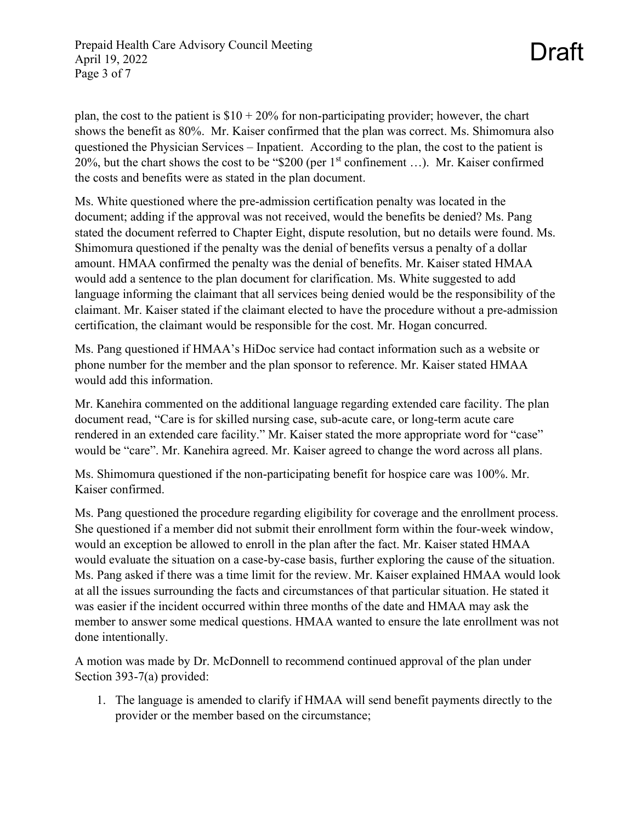plan, the cost to the patient is  $$10 + 20\%$  for non-participating provider; however, the chart shows the benefit as 80%. Mr. Kaiser confirmed that the plan was correct. Ms. Shimomura also questioned the Physician Services – Inpatient. According to the plan, the cost to the patient is 20%, but the chart shows the cost to be "\$200 (per  $1<sup>st</sup>$  confinement ...). Mr. Kaiser confirmed the costs and benefits were as stated in the plan document.

Ms. White questioned where the pre-admission certification penalty was located in the document; adding if the approval was not received, would the benefits be denied? Ms. Pang stated the document referred to Chapter Eight, dispute resolution, but no details were found. Ms. Shimomura questioned if the penalty was the denial of benefits versus a penalty of a dollar amount. HMAA confirmed the penalty was the denial of benefits. Mr. Kaiser stated HMAA would add a sentence to the plan document for clarification. Ms. White suggested to add language informing the claimant that all services being denied would be the responsibility of the claimant. Mr. Kaiser stated if the claimant elected to have the procedure without a pre-admission certification, the claimant would be responsible for the cost. Mr. Hogan concurred.

Ms. Pang questioned if HMAA's HiDoc service had contact information such as a website or phone number for the member and the plan sponsor to reference. Mr. Kaiser stated HMAA would add this information.

Mr. Kanehira commented on the additional language regarding extended care facility. The plan document read, "Care is for skilled nursing case, sub-acute care, or long-term acute care rendered in an extended care facility." Mr. Kaiser stated the more appropriate word for "case" would be "care". Mr. Kanehira agreed. Mr. Kaiser agreed to change the word across all plans.

Ms. Shimomura questioned if the non-participating benefit for hospice care was 100%. Mr. Kaiser confirmed.

Ms. Pang questioned the procedure regarding eligibility for coverage and the enrollment process. She questioned if a member did not submit their enrollment form within the four-week window, would an exception be allowed to enroll in the plan after the fact. Mr. Kaiser stated HMAA would evaluate the situation on a case-by-case basis, further exploring the cause of the situation. Ms. Pang asked if there was a time limit for the review. Mr. Kaiser explained HMAA would look at all the issues surrounding the facts and circumstances of that particular situation. He stated it was easier if the incident occurred within three months of the date and HMAA may ask the member to answer some medical questions. HMAA wanted to ensure the late enrollment was not done intentionally.

A motion was made by Dr. McDonnell to recommend continued approval of the plan under Section 393-7(a) provided:

1. The language is amended to clarify if HMAA will send benefit payments directly to the provider or the member based on the circumstance;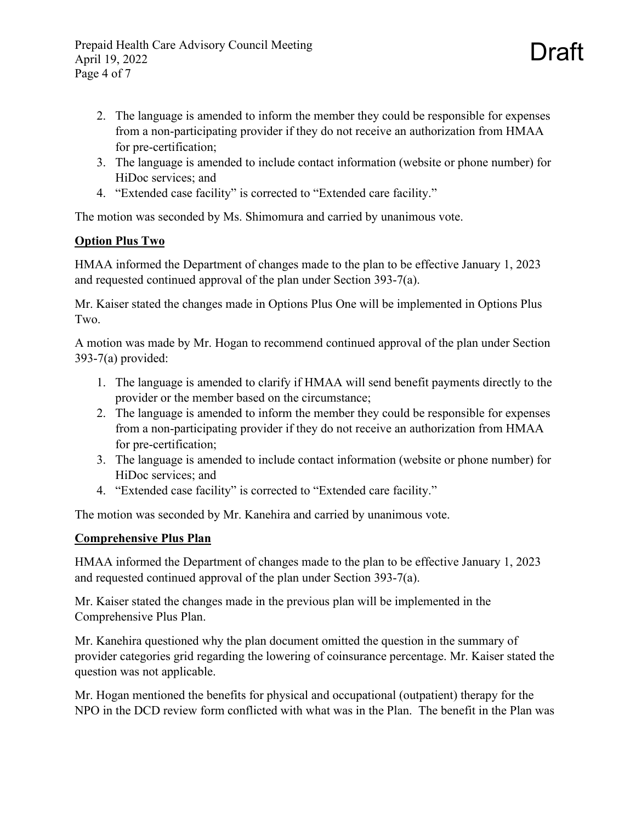Draft

- 3. The language is amended to include contact information (website or phone number) for HiDoc services; and
- 4. "Extended case facility" is corrected to "Extended care facility."

The motion was seconded by Ms. Shimomura and carried by unanimous vote.

# **Option Plus Two**

HMAA informed the Department of changes made to the plan to be effective January 1, 2023 and requested continued approval of the plan under Section 393-7(a).

Mr. Kaiser stated the changes made in Options Plus One will be implemented in Options Plus Two.

A motion was made by Mr. Hogan to recommend continued approval of the plan under Section 393-7(a) provided:

- 1. The language is amended to clarify if HMAA will send benefit payments directly to the provider or the member based on the circumstance;
- 2. The language is amended to inform the member they could be responsible for expenses from a non-participating provider if they do not receive an authorization from HMAA for pre-certification;
- 3. The language is amended to include contact information (website or phone number) for HiDoc services; and
- 4. "Extended case facility" is corrected to "Extended care facility."

The motion was seconded by Mr. Kanehira and carried by unanimous vote.

# **Comprehensive Plus Plan**

HMAA informed the Department of changes made to the plan to be effective January 1, 2023 and requested continued approval of the plan under Section 393-7(a).

Mr. Kaiser stated the changes made in the previous plan will be implemented in the Comprehensive Plus Plan.

Mr. Kanehira questioned why the plan document omitted the question in the summary of provider categories grid regarding the lowering of coinsurance percentage. Mr. Kaiser stated the question was not applicable.

Mr. Hogan mentioned the benefits for physical and occupational (outpatient) therapy for the NPO in the DCD review form conflicted with what was in the Plan. The benefit in the Plan was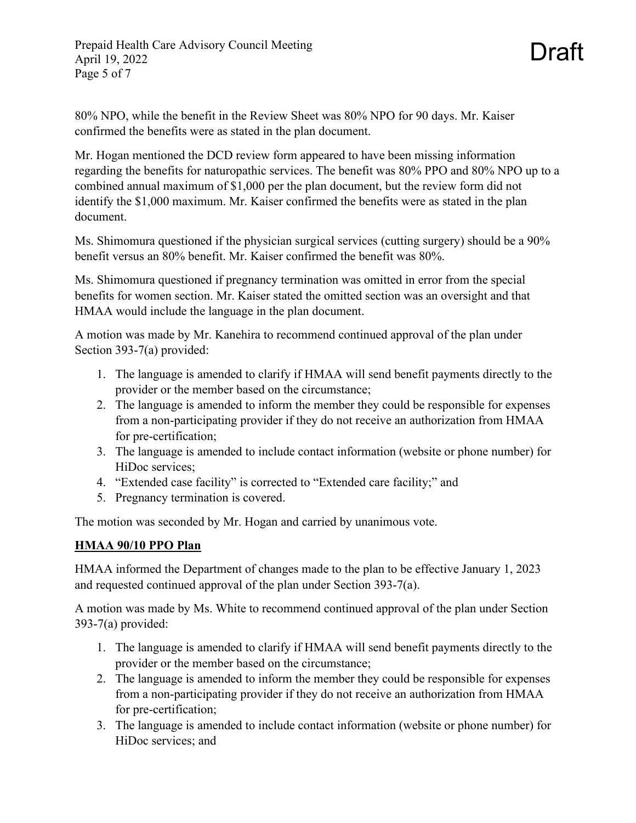Mr. Hogan mentioned the DCD review form appeared to have been missing information regarding the benefits for naturopathic services. The benefit was 80% PPO and 80% NPO up to a combined annual maximum of \$1,000 per the plan document, but the review form did not identify the \$1,000 maximum. Mr. Kaiser confirmed the benefits were as stated in the plan document.

Draft

Ms. Shimomura questioned if the physician surgical services (cutting surgery) should be a 90% benefit versus an 80% benefit. Mr. Kaiser confirmed the benefit was 80%.

Ms. Shimomura questioned if pregnancy termination was omitted in error from the special benefits for women section. Mr. Kaiser stated the omitted section was an oversight and that HMAA would include the language in the plan document.

A motion was made by Mr. Kanehira to recommend continued approval of the plan under Section 393-7(a) provided:

- 1. The language is amended to clarify if HMAA will send benefit payments directly to the provider or the member based on the circumstance;
- 2. The language is amended to inform the member they could be responsible for expenses from a non-participating provider if they do not receive an authorization from HMAA for pre-certification;
- 3. The language is amended to include contact information (website or phone number) for HiDoc services;
- 4. "Extended case facility" is corrected to "Extended care facility;" and
- 5. Pregnancy termination is covered.

The motion was seconded by Mr. Hogan and carried by unanimous vote.

# **HMAA 90/10 PPO Plan**

HMAA informed the Department of changes made to the plan to be effective January 1, 2023 and requested continued approval of the plan under Section 393-7(a).

A motion was made by Ms. White to recommend continued approval of the plan under Section 393-7(a) provided:

- 1. The language is amended to clarify if HMAA will send benefit payments directly to the provider or the member based on the circumstance;
- 2. The language is amended to inform the member they could be responsible for expenses from a non-participating provider if they do not receive an authorization from HMAA for pre-certification;
- 3. The language is amended to include contact information (website or phone number) for HiDoc services; and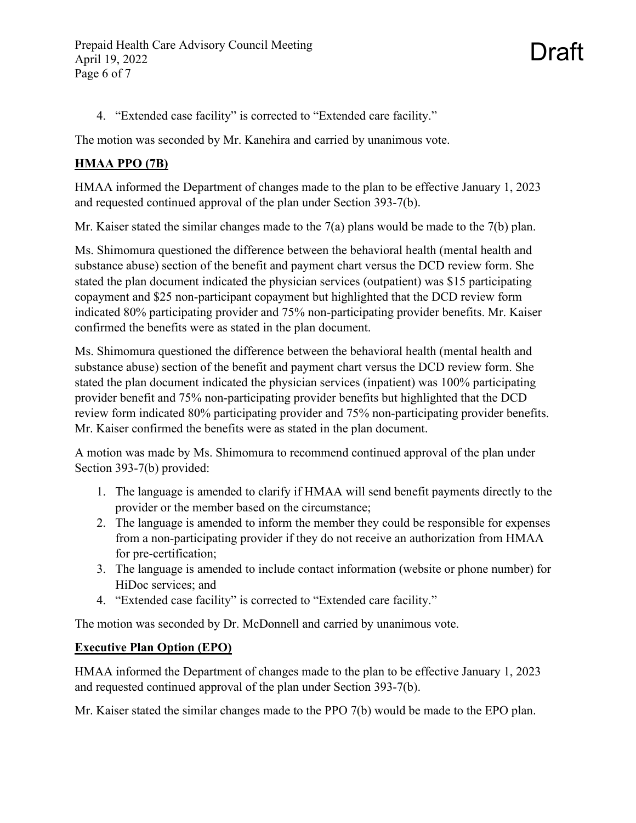Prepaid Health Care Advisory Council Meeting April 19, 2022 Page 6 of 7

Draft

4. "Extended case facility" is corrected to "Extended care facility."

The motion was seconded by Mr. Kanehira and carried by unanimous vote.

# **HMAA PPO (7B)**

HMAA informed the Department of changes made to the plan to be effective January 1, 2023 and requested continued approval of the plan under Section 393-7(b).

Mr. Kaiser stated the similar changes made to the 7(a) plans would be made to the 7(b) plan.

Ms. Shimomura questioned the difference between the behavioral health (mental health and substance abuse) section of the benefit and payment chart versus the DCD review form. She stated the plan document indicated the physician services (outpatient) was \$15 participating copayment and \$25 non-participant copayment but highlighted that the DCD review form indicated 80% participating provider and 75% non-participating provider benefits. Mr. Kaiser confirmed the benefits were as stated in the plan document.

Ms. Shimomura questioned the difference between the behavioral health (mental health and substance abuse) section of the benefit and payment chart versus the DCD review form. She stated the plan document indicated the physician services (inpatient) was 100% participating provider benefit and 75% non-participating provider benefits but highlighted that the DCD review form indicated 80% participating provider and 75% non-participating provider benefits. Mr. Kaiser confirmed the benefits were as stated in the plan document.

A motion was made by Ms. Shimomura to recommend continued approval of the plan under Section 393-7(b) provided:

- 1. The language is amended to clarify if HMAA will send benefit payments directly to the provider or the member based on the circumstance;
- 2. The language is amended to inform the member they could be responsible for expenses from a non-participating provider if they do not receive an authorization from HMAA for pre-certification;
- 3. The language is amended to include contact information (website or phone number) for HiDoc services; and
- 4. "Extended case facility" is corrected to "Extended care facility."

The motion was seconded by Dr. McDonnell and carried by unanimous vote.

### **Executive Plan Option (EPO)**

HMAA informed the Department of changes made to the plan to be effective January 1, 2023 and requested continued approval of the plan under Section 393-7(b).

Mr. Kaiser stated the similar changes made to the PPO 7(b) would be made to the EPO plan.